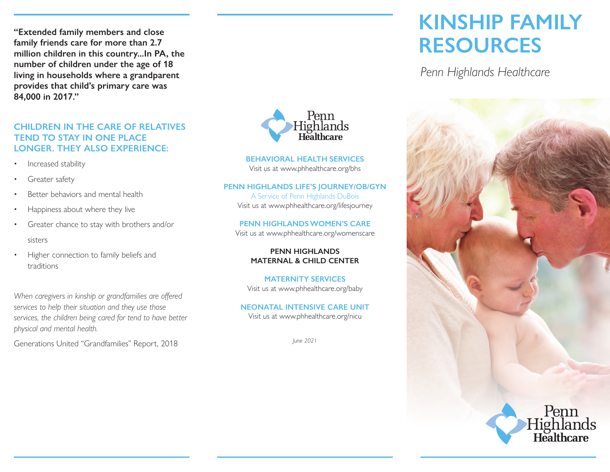**"Extended family members and close family friends care for more than 2.7 million children in this country...In PA, the number of children under the age of 18 living in households where a grandparent provides that child's primary care was 84,000 in 2017."** 

#### **CHILDREN IN THE CARE OF RELATIVES TEND TO STAY IN ONE PLACE LONGER. THEY ALSO EXPERIENCE:**

- Increased stability
- Greater safety
- Better behaviors and mental health
- Happiness about where they live
- Greater chance to stay with brothers and/or sisters
- Higher connection to family beliefs and traditions

*When caregivers in kinship or grandfamilies are offered services to help their situation and they use those services, the children being cared for tend to have better physical and mental health.*

Generations United "Grandfamilies" Report, 2018



**BEHAVIORAL HEALTH SERVICES** Visit us at www.phhealthcare.org/bhs

#### **PENN HIGHLANDS LIFE'S JOURNEY/OB/GYN**

A Service of Penn Highlands DuBois Visit us at www.phhealthcare.org/lifesjourney

#### **PENN HIGHLANDS WOMEN'S CARE** Visit us at www.phhealthcare.org/womenscare

**PENN HIGHLANDS MATERNAL & CHILD CENTER**

**MATERNITY SERVICES** Visit us at www.phhealthcare.org/baby

#### **NEONATAL INTENSIVE CARE UNIT** Visit us at www.phhealthcare.org/nicu

*June 2021*

# **KINSHIP FAMILY RESOURCES**

*Penn Highlands Healthcare*